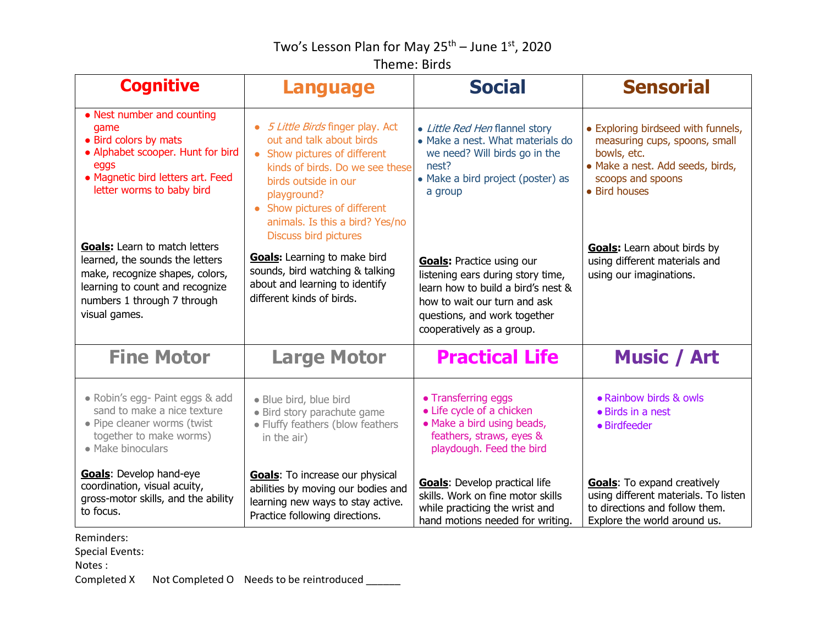## Two's Lesson Plan for May 25<sup>th</sup> – June 1st, 2020

## Theme: Birds

| <b>Cognitive</b>                                                                                                                                                                              | <b>Language</b>                                                                                                                                                                                                                          | <b>Social</b>                                                                                                                                                                                            | <b>Sensorial</b>                                                                                                                                             |
|-----------------------------------------------------------------------------------------------------------------------------------------------------------------------------------------------|------------------------------------------------------------------------------------------------------------------------------------------------------------------------------------------------------------------------------------------|----------------------------------------------------------------------------------------------------------------------------------------------------------------------------------------------------------|--------------------------------------------------------------------------------------------------------------------------------------------------------------|
| • Nest number and counting<br>qame<br>• Bird colors by mats<br>• Alphabet scooper. Hunt for bird<br>eggs<br>• Magnetic bird letters art. Feed<br>letter worms to baby bird                    | 5 Little Birds finger play. Act<br>out and talk about birds<br>• Show pictures of different<br>kinds of birds. Do we see these<br>birds outside in our<br>playground?<br>• Show pictures of different<br>animals. Is this a bird? Yes/no | • Little Red Hen flannel story<br>• Make a nest. What materials do<br>we need? Will birds go in the<br>nest?<br>• Make a bird project (poster) as<br>a group                                             | • Exploring birdseed with funnels,<br>measuring cups, spoons, small<br>bowls, etc.<br>· Make a nest. Add seeds, birds,<br>scoops and spoons<br>• Bird houses |
| <b>Goals:</b> Learn to match letters<br>learned, the sounds the letters<br>make, recognize shapes, colors,<br>learning to count and recognize<br>numbers 1 through 7 through<br>visual games. | <b>Discuss bird pictures</b><br><b>Goals:</b> Learning to make bird<br>sounds, bird watching & talking<br>about and learning to identify<br>different kinds of birds.                                                                    | <b>Goals: Practice using our</b><br>listening ears during story time,<br>learn how to build a bird's nest &<br>how to wait our turn and ask<br>questions, and work together<br>cooperatively as a group. | <b>Goals:</b> Learn about birds by<br>using different materials and<br>using our imaginations.                                                               |
| <b>Fine Motor</b>                                                                                                                                                                             | <b>Large Motor</b>                                                                                                                                                                                                                       | <b>Practical Life</b>                                                                                                                                                                                    | <b>Music / Art</b>                                                                                                                                           |
| • Robin's egg- Paint eggs & add<br>sand to make a nice texture<br>· Pipe cleaner worms (twist<br>together to make worms)<br>• Make binoculars                                                 | · Blue bird, blue bird<br>· Bird story parachute game<br>• Fluffy feathers (blow feathers<br>in the air)                                                                                                                                 | • Transferring eggs<br>• Life cycle of a chicken<br>• Make a bird using beads,<br>feathers, straws, eyes &<br>playdough. Feed the bird                                                                   | • Rainbow birds & owls<br>• Birds in a nest<br>• Birdfeeder                                                                                                  |
| Goals: Develop hand-eye<br>coordination, visual acuity,<br>gross-motor skills, and the ability<br>to focus.                                                                                   | <b>Goals:</b> To increase our physical<br>abilities by moving our bodies and<br>learning new ways to stay active.<br>Practice following directions.                                                                                      | <b>Goals:</b> Develop practical life<br>skills. Work on fine motor skills<br>while practicing the wrist and<br>hand motions needed for writing.                                                          | <b>Goals:</b> To expand creatively<br>using different materials. To listen<br>to directions and follow them.<br>Explore the world around us.                 |

Reminders:

Special Events:

Notes :

Completed X Not Completed O Needs to be reintroduced \_\_\_\_\_\_